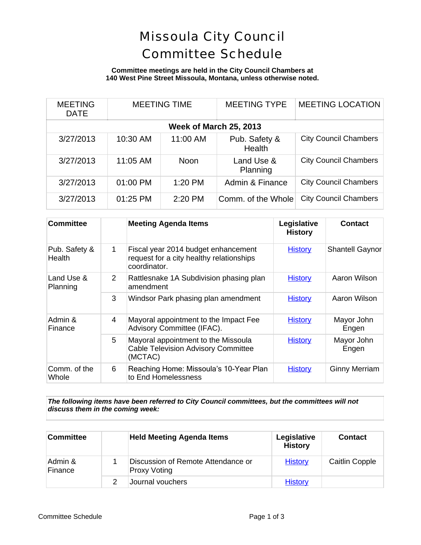# Missoula City Council Committee Schedule

### **Committee meetings are held in the City Council Chambers at 140 West Pine Street Missoula, Montana, unless otherwise noted.**

| <b>MEETING</b><br><b>DATE</b> | <b>MEETING TIME</b> |          | <b>MEETING TYPE</b>     | <b>MEETING LOCATION</b>      |  |
|-------------------------------|---------------------|----------|-------------------------|------------------------------|--|
| <b>Week of March 25, 2013</b> |                     |          |                         |                              |  |
| 3/27/2013                     | 10:30 AM            | 11:00 AM | Pub. Safety &<br>Health | <b>City Council Chambers</b> |  |
| 3/27/2013                     | 11:05 AM            | Noon     | Land Use &<br>Planning  | <b>City Council Chambers</b> |  |
| 3/27/2013                     | 01:00 PM            | 1:20 PM  | Admin & Finance         | <b>City Council Chambers</b> |  |
| 3/27/2013                     | 01:25 PM            | 2:20 PM  | Comm. of the Whole      | <b>City Council Chambers</b> |  |

| <b>Committee</b>               |   | <b>Meeting Agenda Items</b>                                                                     | Legislative<br><b>History</b> | <b>Contact</b>         |
|--------------------------------|---|-------------------------------------------------------------------------------------------------|-------------------------------|------------------------|
| Pub. Safety &<br><b>Health</b> | 1 | Fiscal year 2014 budget enhancement<br>request for a city healthy relationships<br>coordinator. | <b>History</b>                | <b>Shantell Gaynor</b> |
| Land Use &<br>Planning         | 2 | Rattlesnake 1A Subdivision phasing plan<br>amendment                                            | <b>History</b>                | Aaron Wilson           |
|                                | 3 | Windsor Park phasing plan amendment                                                             | <b>History</b>                | Aaron Wilson           |
| Admin &<br>Finance             | 4 | Mayoral appointment to the Impact Fee<br>Advisory Committee (IFAC).                             | <b>History</b>                | Mayor John<br>Engen    |
|                                | 5 | Mayoral appointment to the Missoula<br><b>Cable Television Advisory Committee</b><br>(MCTAC)    | <b>History</b>                | Mayor John<br>Engen    |
| Comm. of the<br>Whole          | 6 | Reaching Home: Missoula's 10-Year Plan<br>to End Homelessness                                   | <b>History</b>                | <b>Ginny Merriam</b>   |

*The following items have been referred to City Council committees, but the committees will not discuss them in the coming week:*

| <b>Committee</b>   | <b>Held Meeting Agenda Items</b>                          | Legislative<br><b>History</b> | <b>Contact</b>        |
|--------------------|-----------------------------------------------------------|-------------------------------|-----------------------|
| Admin &<br>Finance | Discussion of Remote Attendance or<br><b>Proxy Voting</b> | <b>History</b>                | <b>Caitlin Copple</b> |
|                    | Journal vouchers                                          | <b>History</b>                |                       |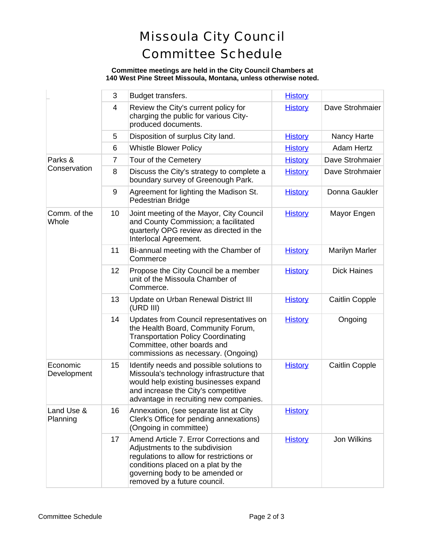# Missoula City Council Committee Schedule

#### **Committee meetings are held in the City Council Chambers at 140 West Pine Street Missoula, Montana, unless otherwise noted.**

|                         | 3  | Budget transfers.                                                                                                                                                                                                             | <b>History</b> |                       |
|-------------------------|----|-------------------------------------------------------------------------------------------------------------------------------------------------------------------------------------------------------------------------------|----------------|-----------------------|
|                         | 4  | Review the City's current policy for<br>charging the public for various City-<br>produced documents.                                                                                                                          | <b>History</b> | Dave Strohmaier       |
|                         | 5  | Disposition of surplus City land.                                                                                                                                                                                             | <b>History</b> | Nancy Harte           |
|                         | 6  | <b>Whistle Blower Policy</b>                                                                                                                                                                                                  | <b>History</b> | <b>Adam Hertz</b>     |
| Parks &<br>Conservation | 7  | Tour of the Cemetery                                                                                                                                                                                                          | <b>History</b> | Dave Strohmaier       |
|                         | 8  | Discuss the City's strategy to complete a<br>boundary survey of Greenough Park.                                                                                                                                               | <b>History</b> | Dave Strohmaier       |
|                         | 9  | Agreement for lighting the Madison St.<br>Pedestrian Bridge                                                                                                                                                                   | <b>History</b> | Donna Gaukler         |
| Comm. of the<br>Whole   | 10 | Joint meeting of the Mayor, City Council<br>and County Commission; a facilitated<br>quarterly OPG review as directed in the<br>Interlocal Agreement.                                                                          | <b>History</b> | Mayor Engen           |
|                         | 11 | Bi-annual meeting with the Chamber of<br>Commerce                                                                                                                                                                             | <b>History</b> | <b>Marilyn Marler</b> |
|                         | 12 | Propose the City Council be a member<br>unit of the Missoula Chamber of<br>Commerce.                                                                                                                                          | <b>History</b> | <b>Dick Haines</b>    |
|                         | 13 | Update on Urban Renewal District III<br>(URD III)                                                                                                                                                                             | <b>History</b> | <b>Caitlin Copple</b> |
|                         | 14 | Updates from Council representatives on<br>the Health Board, Community Forum,<br><b>Transportation Policy Coordinating</b><br>Committee, other boards and<br>commissions as necessary. (Ongoing)                              | <b>History</b> | Ongoing               |
| Economic<br>Development | 15 | Identify needs and possible solutions to<br>Missoula's technology infrastructure that<br>would help existing businesses expand<br>and increase the City's competitive<br>advantage in recruiting new companies.               | <b>History</b> | Caitlin Copple        |
| Land Use &<br>Planning  | 16 | Annexation, (see separate list at City<br>Clerk's Office for pending annexations)<br>(Ongoing in committee)                                                                                                                   | <b>History</b> |                       |
|                         | 17 | Amend Article 7. Error Corrections and<br>Adjustments to the subdivision<br>regulations to allow for restrictions or<br>conditions placed on a plat by the<br>governing body to be amended or<br>removed by a future council. | <b>History</b> | Jon Wilkins           |